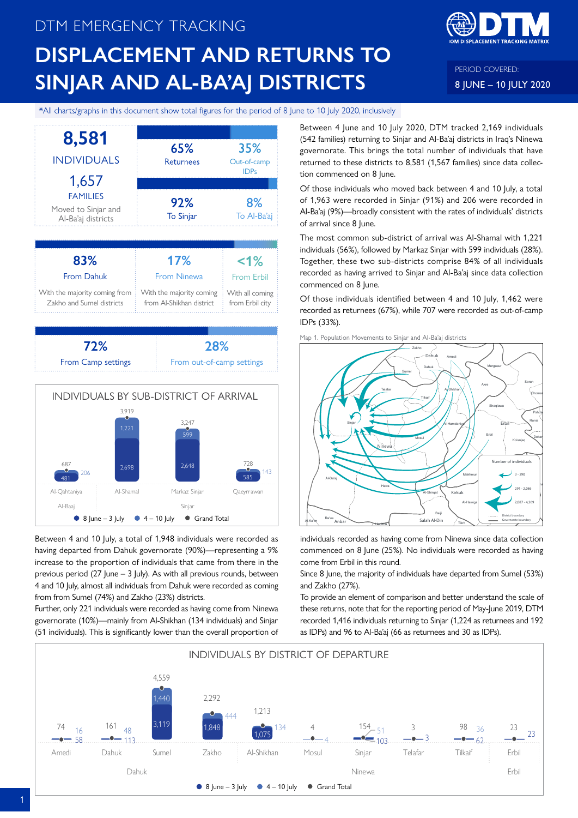# DTM EMERGENCY TRACKING **DISPLACEMENT AND RETURNS TO SINJAR AND AL-BA'AJ DISTRICTS**



PERIOD COVERED: 8 JUNE – 10 JULY 2020

\*All charts/graphs in this document show total figures for the period of 8 June to 10 July 2020, inclusively





Between 4 and 10 July, a total of 1,948 individuals were recorded as having departed from Dahuk governorate (90%)—representing a 9% increase to the proportion of individuals that came from there in the previous period (27 June  $-$  3 July). As with all previous rounds, between 4 and 10 July, almost all individuals from Dahuk were recorded as coming from from Sumel (74%) and Zakho (23%) districts.

Further, only 221 individuals were recorded as having come from Ninewa governorate (10%)—mainly from Al-Shikhan (134 individuals) and Sinjar (51 individuals). This is significantly lower than the overall proportion of Between 4 June and 10 July 2020, DTM tracked 2,169 individuals (542 families) returning to Sinjar and Al-Ba'aj districts in Iraq's Ninewa governorate. This brings the total number of individuals that have returned to these districts to 8,581 (1,567 families) since data collection commenced on 8 June.

Of those individuals who moved back between 4 and 10 July, a total of 1,963 were recorded in Sinjar (91%) and 206 were recorded in Al-Ba'aj (9%)—broadly consistent with the rates of individuals' districts of arrival since 8 June.

The most common sub-district of arrival was Al-Shamal with 1,221 individuals (56%), followed by Markaz Sinjar with 599 individuals (28%). Together, these two sub-districts comprise 84% of all individuals recorded as having arrived to Sinjar and Al-Ba'aj since data collection commenced on 8 June.

Of those individuals identified between 4 and 10 July, 1,462 were recorded as returnees (67%), while 707 were recorded as out-of-camp IDPs (33%).





individuals recorded as having come from Ninewa since data collection commenced on 8 June (25%). No individuals were recorded as having come from Erbil in this round.

Since 8 June, the majority of individuals have departed from Sumel (53%) and Zakho (27%).

To provide an element of comparison and better understand the scale of these returns, note that for the reporting period of May-June 2019, DTM recorded 1,416 individuals returning to Sinjar (1,224 as returnees and 192 as IDPs) and 96 to Al-Ba'aj (66 as returnees and 30 as IDPs).